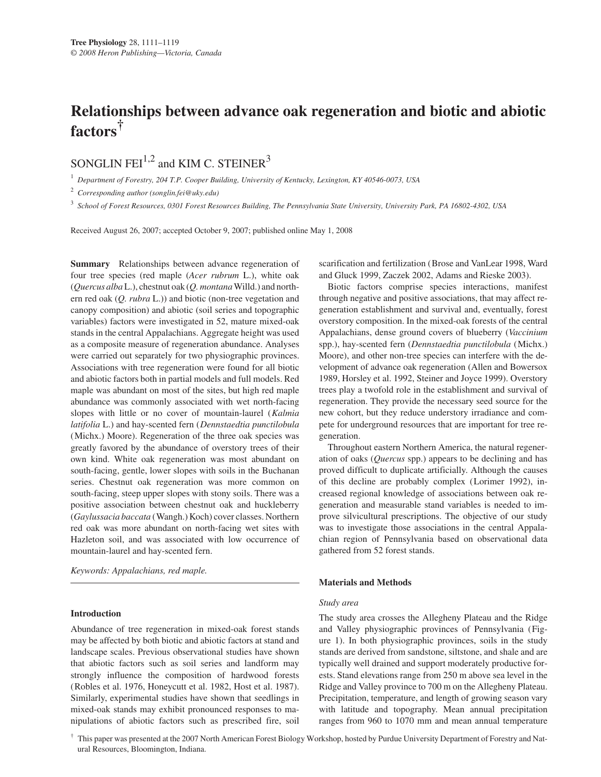# **Relationships between advance oak regeneration and biotic and abiotic factors†**

# SONGLIN $\text{FEI}^{1,2}$  and KIM C. STEINER<sup>3</sup>

<sup>1</sup> *Department of Forestry, 204 T.P. Cooper Building, University of Kentucky, Lexington, KY 40546-0073, USA*

<sup>2</sup> *Corresponding author (songlin.fei@uky.edu)*

<sup>3</sup> *School of Forest Resources, 0301 Forest Resources Building, The Pennsylvania State University, University Park, PA 16802-4302, USA*

Received August 26, 2007; accepted October 9, 2007; published online May 1, 2008

**Summary** Relationships between advance regeneration of four tree species (red maple (*Acer rubrum* L.), white oak (*Quercus alba*L.), chestnut oak (*Q. montana*Willd.) and northern red oak (*Q. rubra* L.)) and biotic (non-tree vegetation and canopy composition) and abiotic (soil series and topographic variables) factors were investigated in 52, mature mixed-oak stands in the central Appalachians. Aggregate height was used as a composite measure of regeneration abundance. Analyses were carried out separately for two physiographic provinces. Associations with tree regeneration were found for all biotic and abiotic factors both in partial models and full models. Red maple was abundant on most of the sites, but high red maple abundance was commonly associated with wet north-facing slopes with little or no cover of mountain-laurel (*Kalmia latifolia* L.) and hay-scented fern (*Dennstaedtia punctilobula* (Michx.) Moore). Regeneration of the three oak species was greatly favored by the abundance of overstory trees of their own kind. White oak regeneration was most abundant on south-facing, gentle, lower slopes with soils in the Buchanan series. Chestnut oak regeneration was more common on south-facing, steep upper slopes with stony soils. There was a positive association between chestnut oak and huckleberry (*Gaylussacia baccata* (Wangh.) Koch) cover classes. Northern red oak was more abundant on north-facing wet sites with Hazleton soil, and was associated with low occurrence of mountain-laurel and hay-scented fern.

*Keywords: Appalachians, red maple.*

# **Introduction**

Abundance of tree regeneration in mixed-oak forest stands may be affected by both biotic and abiotic factors at stand and landscape scales. Previous observational studies have shown that abiotic factors such as soil series and landform may strongly influence the composition of hardwood forests (Robles et al. 1976, Honeycutt et al. 1982, Host et al. 1987). Similarly, experimental studies have shown that seedlings in mixed-oak stands may exhibit pronounced responses to manipulations of abiotic factors such as prescribed fire, soil scarification and fertilization (Brose and VanLear 1998, Ward and Gluck 1999, Zaczek 2002, Adams and Rieske 2003).

Biotic factors comprise species interactions, manifest through negative and positive associations, that may affect regeneration establishment and survival and, eventually, forest overstory composition. In the mixed-oak forests of the central Appalachians, dense ground covers of blueberry (*Vaccinium* spp.), hay-scented fern (*Dennstaedtia punctilobula* (Michx.) Moore), and other non-tree species can interfere with the development of advance oak regeneration (Allen and Bowersox 1989, Horsley et al. 1992, Steiner and Joyce 1999). Overstory trees play a twofold role in the establishment and survival of regeneration. They provide the necessary seed source for the new cohort, but they reduce understory irradiance and compete for underground resources that are important for tree regeneration.

Throughout eastern Northern America, the natural regeneration of oaks (*Quercus* spp.) appears to be declining and has proved difficult to duplicate artificially. Although the causes of this decline are probably complex (Lorimer 1992), increased regional knowledge of associations between oak regeneration and measurable stand variables is needed to improve silvicultural prescriptions. The objective of our study was to investigate those associations in the central Appalachian region of Pennsylvania based on observational data gathered from 52 forest stands.

## **Materials and Methods**

#### *Study area*

The study area crosses the Allegheny Plateau and the Ridge and Valley physiographic provinces of Pennsylvania (Figure 1). In both physiographic provinces, soils in the study stands are derived from sandstone, siltstone, and shale and are typically well drained and support moderately productive forests. Stand elevations range from 250 m above sea level in the Ridge and Valley province to 700 m on the Allegheny Plateau. Precipitation, temperature, and length of growing season vary with latitude and topography. Mean annual precipitation ranges from 960 to 1070 mm and mean annual temperature

† This paper was presented at the 2007 North American Forest Biology Workshop, hosted by Purdue University Department of Forestry and Natural Resources, Bloomington, Indiana.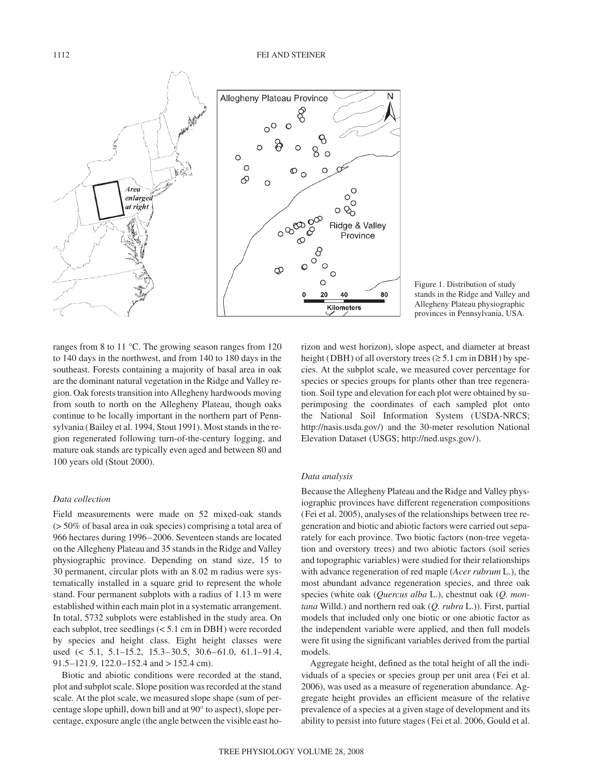

Figure 1. Distribution of study stands in the Ridge and Valley and Allegheny Plateau physiographic provinces in Pennsylvania, USA.

ranges from 8 to 11 °C. The growing season ranges from 120 to 140 days in the northwest, and from 140 to 180 days in the southeast. Forests containing a majority of basal area in oak are the dominant natural vegetation in the Ridge and Valley region. Oak forests transition into Allegheny hardwoods moving from south to north on the Allegheny Plateau, though oaks continue to be locally important in the northern part of Pennsylvania (Bailey et al. 1994, Stout 1991). Most stands in the region regenerated following turn-of-the-century logging, and mature oak stands are typically even aged and between 80 and 100 years old (Stout 2000).

#### *Data collection*

Field measurements were made on 52 mixed-oak stands (> 50% of basal area in oak species) comprising a total area of 966 hectares during 1996–2006. Seventeen stands are located on the Allegheny Plateau and 35 stands in the Ridge and Valley physiographic province. Depending on stand size, 15 to 30 permanent, circular plots with an 8.02 m radius were systematically installed in a square grid to represent the whole stand. Four permanent subplots with a radius of 1.13 m were established within each main plot in a systematic arrangement. In total, 5732 subplots were established in the study area. On each subplot, tree seedlings (< 5.1 cm in DBH) were recorded by species and height class. Eight height classes were used (< 5.1, 5.1–15.2, 15.3–30.5, 30.6–61.0, 61.1–91.4, 91.5–121.9, 122.0–152.4 and > 152.4 cm).

Biotic and abiotic conditions were recorded at the stand, plot and subplot scale. Slope position was recorded at the stand scale. At the plot scale, we measured slope shape (sum of percentage slope uphill, down hill and at 90° to aspect), slope percentage, exposure angle (the angle between the visible east horizon and west horizon), slope aspect, and diameter at breast height (DBH) of all overstory trees  $(\geq 5.1 \text{ cm in DBH})$  by species. At the subplot scale, we measured cover percentage for species or species groups for plants other than tree regeneration. Soil type and elevation for each plot were obtained by superimposing the coordinates of each sampled plot onto the National Soil Information System (USDA-NRCS; http://nasis.usda.gov/) and the 30-meter resolution National Elevation Dataset (USGS; http://ned.usgs.gov/).

### *Data analysis*

Because the Allegheny Plateau and the Ridge and Valley physiographic provinces have different regeneration compositions (Fei et al. 2005), analyses of the relationships between tree regeneration and biotic and abiotic factors were carried out separately for each province. Two biotic factors (non-tree vegetation and overstory trees) and two abiotic factors (soil series and topographic variables) were studied for their relationships with advance regeneration of red maple (*Acer rubrum* L.), the most abundant advance regeneration species, and three oak species (white oak (*Quercus alba* L.), chestnut oak (*Q. montana* Willd.) and northern red oak (*Q. rubra* L.)). First, partial models that included only one biotic or one abiotic factor as the independent variable were applied, and then full models were fit using the significant variables derived from the partial models.

Aggregate height, defined as the total height of all the individuals of a species or species group per unit area (Fei et al. 2006), was used as a measure of regeneration abundance. Aggregate height provides an efficient measure of the relative prevalence of a species at a given stage of development and its ability to persist into future stages (Fei et al. 2006, Gould et al.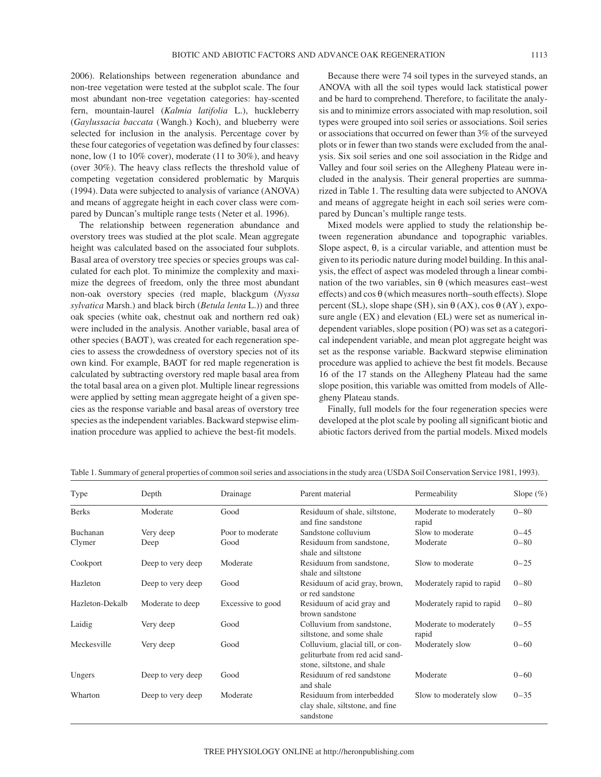2006). Relationships between regeneration abundance and non-tree vegetation were tested at the subplot scale. The four most abundant non-tree vegetation categories: hay-scented fern, mountain-laurel (*Kalmia latifolia* L.), huckleberry (*Gaylussacia baccata* (Wangh.) Koch), and blueberry were selected for inclusion in the analysis. Percentage cover by these four categories of vegetation was defined by four classes: none, low (1 to 10% cover), moderate (11 to 30%), and heavy (over 30%). The heavy class reflects the threshold value of competing vegetation considered problematic by Marquis (1994). Data were subjected to analysis of variance (ANOVA) and means of aggregate height in each cover class were compared by Duncan's multiple range tests (Neter et al. 1996).

The relationship between regeneration abundance and overstory trees was studied at the plot scale. Mean aggregate height was calculated based on the associated four subplots. Basal area of overstory tree species or species groups was calculated for each plot. To minimize the complexity and maximize the degrees of freedom, only the three most abundant non-oak overstory species (red maple, blackgum (*Nyssa sylvatica* Marsh.) and black birch (*Betula lenta* L.)) and three oak species (white oak, chestnut oak and northern red oak) were included in the analysis. Another variable, basal area of other species (BAOT), was created for each regeneration species to assess the crowdedness of overstory species not of its own kind. For example, BAOT for red maple regeneration is calculated by subtracting overstory red maple basal area from the total basal area on a given plot. Multiple linear regressions were applied by setting mean aggregate height of a given species as the response variable and basal areas of overstory tree species as the independent variables. Backward stepwise elimination procedure was applied to achieve the best-fit models.

Because there were 74 soil types in the surveyed stands, an ANOVA with all the soil types would lack statistical power and be hard to comprehend. Therefore, to facilitate the analysis and to minimize errors associated with map resolution, soil types were grouped into soil series or associations. Soil series or associations that occurred on fewer than 3% of the surveyed plots or in fewer than two stands were excluded from the analysis. Six soil series and one soil association in the Ridge and Valley and four soil series on the Allegheny Plateau were included in the analysis. Their general properties are summarized in Table 1. The resulting data were subjected to ANOVA and means of aggregate height in each soil series were compared by Duncan's multiple range tests.

Mixed models were applied to study the relationship between regeneration abundance and topographic variables. Slope aspect, θ, is a circular variable, and attention must be given to its periodic nature during model building. In this analysis, the effect of aspect was modeled through a linear combination of the two variables, sin θ (which measures east–west effects) and  $\cos \theta$  (which measures north–south effects). Slope percent (SL), slope shape (SH), sin  $\theta$  (AX), cos  $\theta$  (AY), exposure angle (EX) and elevation (EL) were set as numerical independent variables, slope position (PO) was set as a categorical independent variable, and mean plot aggregate height was set as the response variable. Backward stepwise elimination procedure was applied to achieve the best fit models. Because 16 of the 17 stands on the Allegheny Plateau had the same slope position, this variable was omitted from models of Allegheny Plateau stands.

Finally, full models for the four regeneration species were developed at the plot scale by pooling all significant biotic and abiotic factors derived from the partial models. Mixed models

| Type            | Depth             | Drainage          | Parent material                                                                                    | Permeability                    | Slope $(\%)$ |
|-----------------|-------------------|-------------------|----------------------------------------------------------------------------------------------------|---------------------------------|--------------|
| <b>Berks</b>    | Moderate          | Good              | Residuum of shale, siltstone,<br>and fine sandstone                                                | Moderate to moderately<br>rapid | $0 - 80$     |
| Buchanan        | Very deep         | Poor to moderate  | Sandstone colluvium                                                                                | Slow to moderate                | $0 - 45$     |
| Clymer          | Deep              | Good              | Residuum from sandstone,<br>shale and siltstone                                                    | Moderate                        | $0 - 80$     |
| Cookport        | Deep to very deep | Moderate          | Residuum from sandstone,<br>shale and siltstone                                                    | Slow to moderate                | $0 - 25$     |
| Hazleton        | Deep to very deep | Good              | Residuum of acid gray, brown,<br>or red sandstone                                                  | Moderately rapid to rapid       | $0 - 80$     |
| Hazleton-Dekalb | Moderate to deep  | Excessive to good | Residuum of acid gray and<br>brown sandstone                                                       | Moderately rapid to rapid       | $0 - 80$     |
| Laidig          | Very deep         | Good              | Colluvium from sandstone,<br>siltstone, and some shale                                             | Moderate to moderately<br>rapid | $0 - 55$     |
| Meckesville     | Very deep         | Good              | Colluvium, glacial till, or con-<br>geliturbate from red acid sand-<br>stone, siltstone, and shale | Moderately slow                 | $0 - 60$     |
| Ungers          | Deep to very deep | Good              | Residuum of red sandstone<br>and shale                                                             | Moderate                        | $0 - 60$     |
| Wharton         | Deep to very deep | Moderate          | Residuum from interbedded<br>clay shale, siltstone, and fine<br>sandstone                          | Slow to moderately slow         | $0 - 35$     |

Table 1. Summary of general properties of common soil series and associations in the study area (USDA Soil Conservation Service 1981, 1993).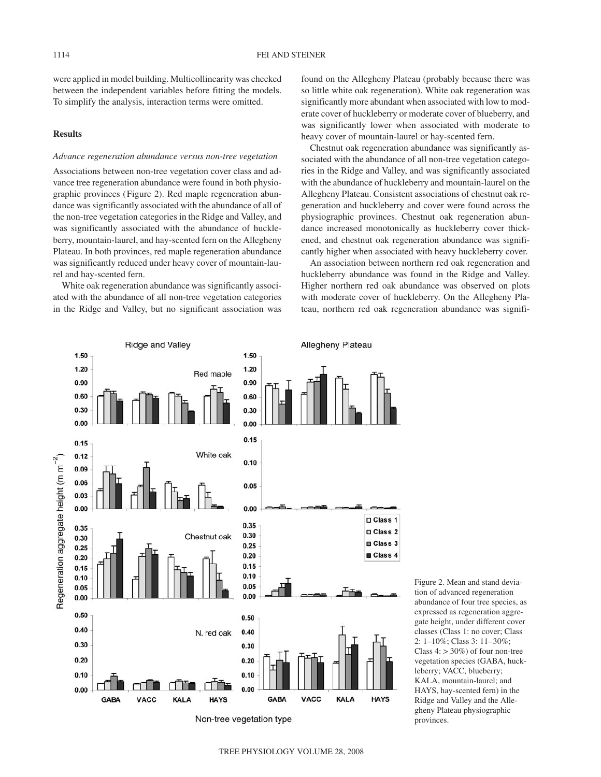were applied in model building. Multicollinearity was checked between the independent variables before fitting the models. To simplify the analysis, interaction terms were omitted.

### **Results**

#### *Advance regeneration abundance versus non-tree vegetation*

Associations between non-tree vegetation cover class and advance tree regeneration abundance were found in both physiographic provinces (Figure 2). Red maple regeneration abundance was significantly associated with the abundance of all of the non-tree vegetation categories in the Ridge and Valley, and was significantly associated with the abundance of huckleberry, mountain-laurel, and hay-scented fern on the Allegheny Plateau. In both provinces, red maple regeneration abundance was significantly reduced under heavy cover of mountain-laurel and hay-scented fern.

White oak regeneration abundance was significantly associated with the abundance of all non-tree vegetation categories in the Ridge and Valley, but no significant association was

found on the Allegheny Plateau (probably because there was so little white oak regeneration). White oak regeneration was significantly more abundant when associated with low to moderate cover of huckleberry or moderate cover of blueberry, and was significantly lower when associated with moderate to heavy cover of mountain-laurel or hay-scented fern.

Chestnut oak regeneration abundance was significantly associated with the abundance of all non-tree vegetation categories in the Ridge and Valley, and was significantly associated with the abundance of huckleberry and mountain-laurel on the Allegheny Plateau. Consistent associations of chestnut oak regeneration and huckleberry and cover were found across the physiographic provinces. Chestnut oak regeneration abundance increased monotonically as huckleberry cover thickened, and chestnut oak regeneration abundance was significantly higher when associated with heavy huckleberry cover.

An association between northern red oak regeneration and huckleberry abundance was found in the Ridge and Valley. Higher northern red oak abundance was observed on plots with moderate cover of huckleberry. On the Allegheny Plateau, northern red oak regeneration abundance was signifi-



Non-tree vegetation type

Figure 2. Mean and stand deviation of advanced regeneration abundance of four tree species, as expressed as regeneration aggregate height, under different cover classes (Class 1: no cover; Class 2: 1–10%; Class 3: 11–30%; Class  $4:$  > 30%) of four non-tree vegetation species (GABA, huckleberry; VACC, blueberry; KALA, mountain-laurel; and HAYS, hay-scented fern) in the Ridge and Valley and the Allegheny Plateau physiographic provinces.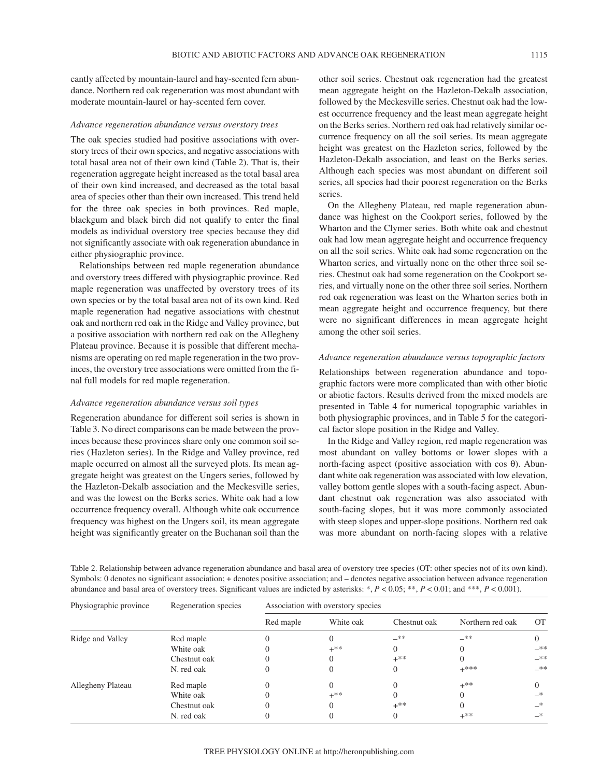cantly affected by mountain-laurel and hay-scented fern abundance. Northern red oak regeneration was most abundant with moderate mountain-laurel or hay-scented fern cover.

### *Advance regeneration abundance versus overstory trees*

The oak species studied had positive associations with overstory trees of their own species, and negative associations with total basal area not of their own kind (Table 2). That is, their regeneration aggregate height increased as the total basal area of their own kind increased, and decreased as the total basal area of species other than their own increased. This trend held for the three oak species in both provinces. Red maple, blackgum and black birch did not qualify to enter the final models as individual overstory tree species because they did not significantly associate with oak regeneration abundance in either physiographic province.

Relationships between red maple regeneration abundance and overstory trees differed with physiographic province. Red maple regeneration was unaffected by overstory trees of its own species or by the total basal area not of its own kind. Red maple regeneration had negative associations with chestnut oak and northern red oak in the Ridge and Valley province, but a positive association with northern red oak on the Allegheny Plateau province. Because it is possible that different mechanisms are operating on red maple regeneration in the two provinces, the overstory tree associations were omitted from the final full models for red maple regeneration.

#### *Advance regeneration abundance versus soil types*

Regeneration abundance for different soil series is shown in Table 3. No direct comparisons can be made between the provinces because these provinces share only one common soil series (Hazleton series). In the Ridge and Valley province, red maple occurred on almost all the surveyed plots. Its mean aggregate height was greatest on the Ungers series, followed by the Hazleton-Dekalb association and the Meckesville series, and was the lowest on the Berks series. White oak had a low occurrence frequency overall. Although white oak occurrence frequency was highest on the Ungers soil, its mean aggregate height was significantly greater on the Buchanan soil than the other soil series. Chestnut oak regeneration had the greatest mean aggregate height on the Hazleton-Dekalb association, followed by the Meckesville series. Chestnut oak had the lowest occurrence frequency and the least mean aggregate height on the Berks series. Northern red oak had relatively similar occurrence frequency on all the soil series. Its mean aggregate height was greatest on the Hazleton series, followed by the Hazleton-Dekalb association, and least on the Berks series. Although each species was most abundant on different soil series, all species had their poorest regeneration on the Berks series.

On the Allegheny Plateau, red maple regeneration abundance was highest on the Cookport series, followed by the Wharton and the Clymer series. Both white oak and chestnut oak had low mean aggregate height and occurrence frequency on all the soil series. White oak had some regeneration on the Wharton series, and virtually none on the other three soil series. Chestnut oak had some regeneration on the Cookport series, and virtually none on the other three soil series. Northern red oak regeneration was least on the Wharton series both in mean aggregate height and occurrence frequency, but there were no significant differences in mean aggregate height among the other soil series.

#### *Advance regeneration abundance versus topographic factors*

Relationships between regeneration abundance and topographic factors were more complicated than with other biotic or abiotic factors. Results derived from the mixed models are presented in Table 4 for numerical topographic variables in both physiographic provinces, and in Table 5 for the categorical factor slope position in the Ridge and Valley.

In the Ridge and Valley region, red maple regeneration was most abundant on valley bottoms or lower slopes with a north-facing aspect (positive association with cos θ). Abundant white oak regeneration was associated with low elevation, valley bottom gentle slopes with a south-facing aspect. Abundant chestnut oak regeneration was also associated with south-facing slopes, but it was more commonly associated with steep slopes and upper-slope positions. Northern red oak was more abundant on north-facing slopes with a relative

Table 2. Relationship between advance regeneration abundance and basal area of overstory tree species (OT: other species not of its own kind). Symbols: 0 denotes no significant association; + denotes positive association; and – denotes negative association between advance regeneration abundance and basal area of overstory trees. Significant values are indicted by asterisks: \*, *P* < 0.05; \*\*, *P* < 0.01; and \*\*\*, *P* < 0.001).

| Physiographic province | Regeneration species | Association with overstory species |           |              |                  |           |  |
|------------------------|----------------------|------------------------------------|-----------|--------------|------------------|-----------|--|
|                        |                      | Red maple                          | White oak | Chestnut oak | Northern red oak | <b>OT</b> |  |
| Ridge and Valley       | Red maple            |                                    |           | $***$        | $-**$            |           |  |
|                        | White oak            |                                    | $+***$    |              |                  | $-**$     |  |
|                        | Chestnut oak         |                                    |           | $+$ **       |                  | $-***$    |  |
|                        | N. red oak           |                                    |           |              | $+***$           | $-***$    |  |
| Allegheny Plateau      | Red maple            |                                    |           |              | $+***$           |           |  |
|                        | White oak            |                                    | $+***$    |              |                  | $-*$      |  |
|                        | Chestnut oak         |                                    |           | $+***$       |                  | $-*$      |  |
|                        | N. red oak           |                                    |           |              | $+***$           | $-*$      |  |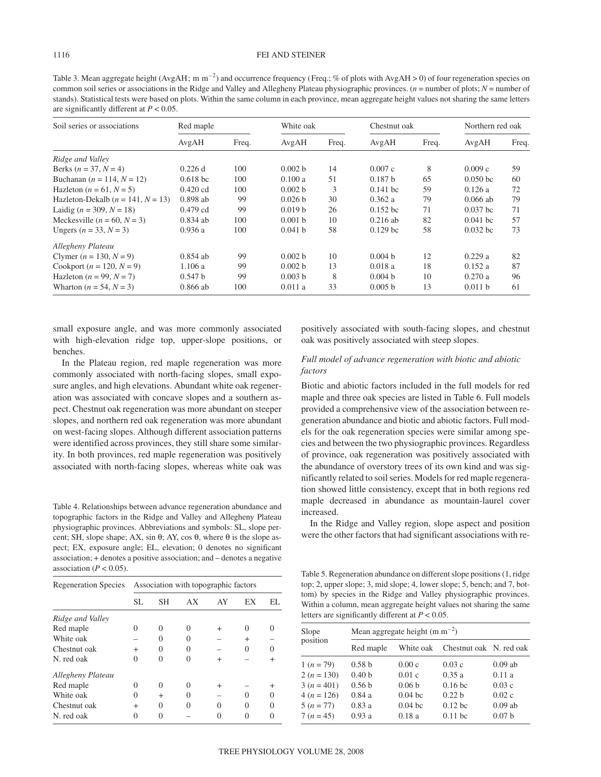#### 1116 FEI AND STEINER

Table 3. Mean aggregate height (AvgAH; m m<sup>-2</sup>) and occurrence frequency (Freq.; % of plots with AvgAH > 0) of four regeneration species on common soil series or associations in the Ridge and Valley and Allegheny Plateau physiographic provinces. (*n* = number of plots; *N* = number of stands). Statistical tests were based on plots. Within the same column in each province, mean aggregate height values not sharing the same letters are significantly different at *P* < 0.05.

| Soil series or associations           | Red maple  |       |                    | White oak |                    | Chestnut oak |                     | Northern red oak |  |
|---------------------------------------|------------|-------|--------------------|-----------|--------------------|--------------|---------------------|------------------|--|
|                                       | AvgAH      | Freq. | AvgAH              | Freq.     | AvgAH              | Freq.        | AvgAH               | Freq.            |  |
| Ridge and Valley                      |            |       |                    |           |                    |              |                     |                  |  |
| Berks ( $n = 37, N = 4$ )             | $0.226$ d  | 100   | 0.002 b            | 14        | 0.007c             | 8            | 0.009c              | 59               |  |
| Buchanan ( $n = 114, N = 12$ )        | $0.618$ bc | 100   | 0.100a             | 51        | 0.187 <sub>b</sub> | 65           | 0.050 <sub>bc</sub> | 60               |  |
| Hazleton $(n = 61, N = 5)$            | $0.420$ cd | 100   | 0.002 b            | 3         | $0.141$ bc         | 59           | 0.126a              | 72               |  |
| Hazleton-Dekalb ( $n = 141, N = 13$ ) | $0.898$ ab | 99    | 0.026 b            | 30        | 0.362a             | 79           | $0.066$ ab          | 79               |  |
| Laidig ( $n = 309, N = 18$ )          | $0.479$ cd | 99    | 0.019 <sub>b</sub> | 26        | $0.152$ bc         | 71           | $0.037$ bc          | 71               |  |
| Meckesville ( $n = 60, N = 3$ )       | $0.834$ ab | 100   | 0.001 h            | 10        | $0.216$ ab         | 82           | $0.041$ bc          | 57               |  |
| Ungers ( $n = 33, N = 3$ )            | 0.936a     | 100   | 0.041 h            | 58        | $0.129$ bc         | 58           | $0.032$ bc          | 73               |  |
| Allegheny Plateau                     |            |       |                    |           |                    |              |                     |                  |  |
| Clymer $(n = 130, N = 9)$             | $0.854$ ab | 99    | 0.002 b            | 10        | 0.004 <sub>b</sub> | 12           | 0.229a              | 82               |  |
| Cookport ( $n = 120, N = 9$ )         | 1.106a     | 99    | 0.002 b            | 13        | 0.018a             | 18           | 0.152a              | 87               |  |
| Hazleton $(n = 99, N = 7)$            | 0.547 b    | 99    | 0.003 <sub>b</sub> | 8         | 0.004 <sub>b</sub> | 10           | 0.270a              | 96               |  |
| Wharton $(n = 54, N = 3)$             | $0.866$ ab | 100   | 0.011a             | 33        | 0.005 b            | 13           | 0.011 b             | 61               |  |

small exposure angle, and was more commonly associated with high-elevation ridge top, upper-slope positions, or benches.

In the Plateau region, red maple regeneration was more commonly associated with north-facing slopes, small exposure angles, and high elevations. Abundant white oak regeneration was associated with concave slopes and a southern aspect. Chestnut oak regeneration was more abundant on steeper slopes, and northern red oak regeneration was more abundant on west-facing slopes. Although different association patterns were identified across provinces, they still share some similarity. In both provinces, red maple regeneration was positively associated with north-facing slopes, whereas white oak was

Table 4. Relationships between advance regeneration abundance and topographic factors in the Ridge and Valley and Allegheny Plateau physiographic provinces. Abbreviations and symbols: SL, slope percent; SH, slope shape; AX, sin  $\theta$ ; AY, cos  $\theta$ , where  $\theta$  is the slope aspect; EX, exposure angle; EL, elevation; 0 denotes no significant association; + denotes a positive association; and – denotes a negative association ( $P < 0.05$ ).

| <b>Regeneration Species</b> | Association with topographic factors |           |          |           |              |     |  |
|-----------------------------|--------------------------------------|-----------|----------|-----------|--------------|-----|--|
|                             | SL                                   | <b>SH</b> | AX       | AY        | EX           | EI. |  |
| Ridge and Valley            |                                      |           |          |           |              |     |  |
| Red maple                   | $\mathbf{\Omega}$                    | 0         | 0        |           | $\mathbf{0}$ |     |  |
| White oak                   |                                      |           | 0        |           | $^{+}$       |     |  |
| Chestnut oak                | $\ddot{}$                            |           | 0        |           |              |     |  |
| N. red oak                  | 0                                    |           | $\Omega$ |           |              |     |  |
| Allegheny Plateau           |                                      |           |          |           |              |     |  |
| Red maple                   | 0                                    | 0         | $\Omega$ | $\ddot{}$ |              |     |  |
| White oak                   | $\mathbf{0}$                         | $\div$    | 0        |           |              |     |  |
| Chestnut oak                | $^{+}$                               |           | $\Omega$ | $\Omega$  |              |     |  |
| N. red oak                  |                                      |           |          |           |              |     |  |

positively associated with south-facing slopes, and chestnut oak was positively associated with steep slopes.

# *Full model of advance regeneration with biotic and abiotic factors*

Biotic and abiotic factors included in the full models for red maple and three oak species are listed in Table 6. Full models provided a comprehensive view of the association between regeneration abundance and biotic and abiotic factors. Full models for the oak regeneration species were similar among species and between the two physiographic provinces. Regardless of province, oak regeneration was positively associated with the abundance of overstory trees of its own kind and was significantly related to soil series. Models for red maple regeneration showed little consistency, except that in both regions red maple decreased in abundance as mountain-laurel cover increased.

In the Ridge and Valley region, slope aspect and position were the other factors that had significant associations with re-

Table 5. Regeneration abundance on different slope positions (1, ridge top; 2, upper slope; 3, mid slope; 4, lower slope; 5, bench; and 7, bottom) by species in the Ridge and Valley physiographic provinces. Within a column, mean aggregate height values not sharing the same letters are significantly different at *P* < 0.05.

| Slope        | Mean aggregate height (m $m^{-2}$ ) |                   |                         |                   |  |  |
|--------------|-------------------------------------|-------------------|-------------------------|-------------------|--|--|
| position     | Red maple                           | White oak         | Chestnut oak N. red oak |                   |  |  |
| $1(n=79)$    | 0.58h                               | 0.00c             | 0.03c                   | $0.09$ ab         |  |  |
| $2(n=130)$   | 0.40 <sub>b</sub>                   | 0.01c             | 0.35a                   | 0.11a             |  |  |
| $3(n=401)$   | 0.56 <sub>b</sub>                   | 0.06 <sub>b</sub> | $0.16$ bc               | 0.03c             |  |  |
| $4(n = 126)$ | 0.84a                               | $0.04$ bc         | 0.22 <sub>b</sub>       | 0.02c             |  |  |
| $5(n = 77)$  | 0.83a                               | $0.04$ bc         | $0.12$ bc               | $0.09$ ab         |  |  |
| $7(n=45)$    | 0.93a                               | 0.18a             | $0.11$ bc               | 0.07 <sub>b</sub> |  |  |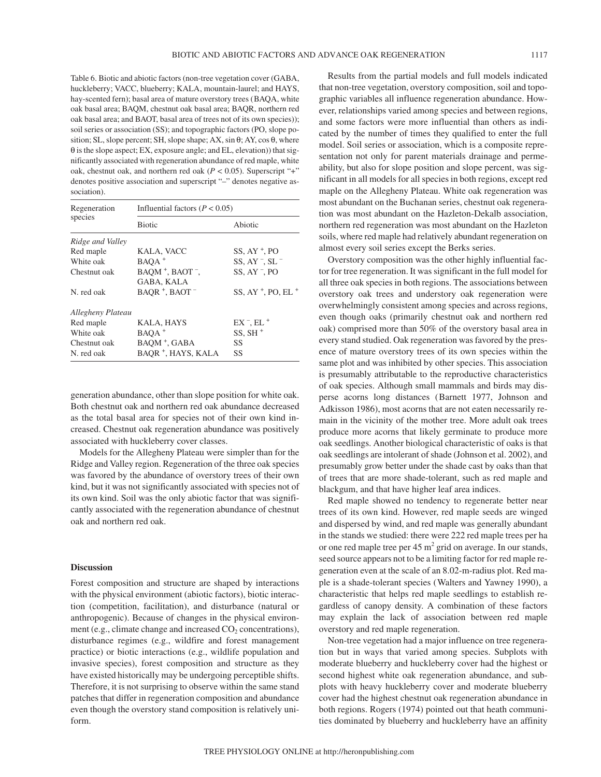Table 6. Biotic and abiotic factors (non-tree vegetation cover (GABA, huckleberry; VACC, blueberry; KALA, mountain-laurel; and HAYS, hay-scented fern); basal area of mature overstory trees (BAQA, white oak basal area; BAQM, chestnut oak basal area; BAQR, northern red oak basal area; and BAOT, basal area of trees not of its own species)); soil series or association (SS); and topographic factors (PO, slope position; SL, slope percent; SH, slope shape; AX, sin  $\theta$ ; AY, cos  $\theta$ , where θ is the slope aspect; EX, exposure angle; and EL, elevation)) that significantly associated with regeneration abundance of red maple, white oak, chestnut oak, and northern red oak ( $P < 0.05$ ). Superscript "+" denotes positive association and superscript "–" denotes negative association).

| Regeneration      | Influential factors ( $P < 0.05$ )          |                                                                 |  |  |  |
|-------------------|---------------------------------------------|-----------------------------------------------------------------|--|--|--|
| species           | <b>Biotic</b>                               | Abiotic                                                         |  |  |  |
| Ridge and Valley  |                                             |                                                                 |  |  |  |
| Red maple         | KALA, VACC                                  | $SS, AY^+$ , PO                                                 |  |  |  |
| White oak         | $BAOA$ <sup>+</sup>                         | SS, $AY$ $\overline{\phantom{0}}$ , SL $\overline{\phantom{0}}$ |  |  |  |
| Chestnut oak      | $BAOM$ <sup>+</sup> , $BAOT$ <sup>-</sup> , | $SS, AY^-$ , PO                                                 |  |  |  |
|                   | GABA, KALA                                  |                                                                 |  |  |  |
| N. red oak        | BAOR <sup>+</sup> , BAOT <sup>-</sup>       | $SS, AY^+$ , PO, EL <sup>+</sup>                                |  |  |  |
| Allegheny Plateau |                                             |                                                                 |  |  |  |
| Red maple         | KALA, HAYS                                  | $EX^-$ , EL <sup>+</sup>                                        |  |  |  |
| White oak         | $BAOA$ <sup>+</sup>                         | $SS, SH^+$                                                      |  |  |  |
| Chestnut oak      | BAOM <sup>+</sup> , GABA                    | SS                                                              |  |  |  |
| N. red oak        | BAOR <sup>+</sup> , HAYS, KALA              | SS                                                              |  |  |  |

generation abundance, other than slope position for white oak. Both chestnut oak and northern red oak abundance decreased as the total basal area for species not of their own kind increased. Chestnut oak regeneration abundance was positively associated with huckleberry cover classes.

Models for the Allegheny Plateau were simpler than for the Ridge and Valley region. Regeneration of the three oak species was favored by the abundance of overstory trees of their own kind, but it was not significantly associated with species not of its own kind. Soil was the only abiotic factor that was significantly associated with the regeneration abundance of chestnut oak and northern red oak.

#### **Discussion**

Forest composition and structure are shaped by interactions with the physical environment (abiotic factors), biotic interaction (competition, facilitation), and disturbance (natural or anthropogenic). Because of changes in the physical environment (e.g., climate change and increased  $CO<sub>2</sub>$  concentrations), disturbance regimes (e.g., wildfire and forest management practice) or biotic interactions (e.g., wildlife population and invasive species), forest composition and structure as they have existed historically may be undergoing perceptible shifts. Therefore, it is not surprising to observe within the same stand patches that differ in regeneration composition and abundance even though the overstory stand composition is relatively uniform.

Results from the partial models and full models indicated that non-tree vegetation, overstory composition, soil and topographic variables all influence regeneration abundance. However, relationships varied among species and between regions, and some factors were more influential than others as indicated by the number of times they qualified to enter the full model. Soil series or association, which is a composite representation not only for parent materials drainage and permeability, but also for slope position and slope percent, was significant in all models for all species in both regions, except red maple on the Allegheny Plateau. White oak regeneration was most abundant on the Buchanan series, chestnut oak regeneration was most abundant on the Hazleton-Dekalb association, northern red regeneration was most abundant on the Hazleton soils, where red maple had relatively abundant regeneration on almost every soil series except the Berks series.

Overstory composition was the other highly influential factor for tree regeneration. It was significant in the full model for all three oak species in both regions. The associations between overstory oak trees and understory oak regeneration were overwhelmingly consistent among species and across regions, even though oaks (primarily chestnut oak and northern red oak) comprised more than 50% of the overstory basal area in every stand studied. Oak regeneration was favored by the presence of mature overstory trees of its own species within the same plot and was inhibited by other species. This association is presumably attributable to the reproductive characteristics of oak species. Although small mammals and birds may disperse acorns long distances (Barnett 1977, Johnson and Adkisson 1986), most acorns that are not eaten necessarily remain in the vicinity of the mother tree. More adult oak trees produce more acorns that likely germinate to produce more oak seedlings. Another biological characteristic of oaks is that oak seedlings are intolerant of shade (Johnson et al. 2002), and presumably grow better under the shade cast by oaks than that of trees that are more shade-tolerant, such as red maple and blackgum, and that have higher leaf area indices.

Red maple showed no tendency to regenerate better near trees of its own kind. However, red maple seeds are winged and dispersed by wind, and red maple was generally abundant in the stands we studied: there were 222 red maple trees per ha or one red maple tree per  $45 \text{ m}^2$  grid on average. In our stands, seed source appears not to be a limiting factor for red maple regeneration even at the scale of an 8.02-m-radius plot. Red maple is a shade-tolerant species (Walters and Yawney 1990), a characteristic that helps red maple seedlings to establish regardless of canopy density. A combination of these factors may explain the lack of association between red maple overstory and red maple regeneration.

Non-tree vegetation had a major influence on tree regeneration but in ways that varied among species. Subplots with moderate blueberry and huckleberry cover had the highest or second highest white oak regeneration abundance, and subplots with heavy huckleberry cover and moderate blueberry cover had the highest chestnut oak regeneration abundance in both regions. Rogers (1974) pointed out that heath communities dominated by blueberry and huckleberry have an affinity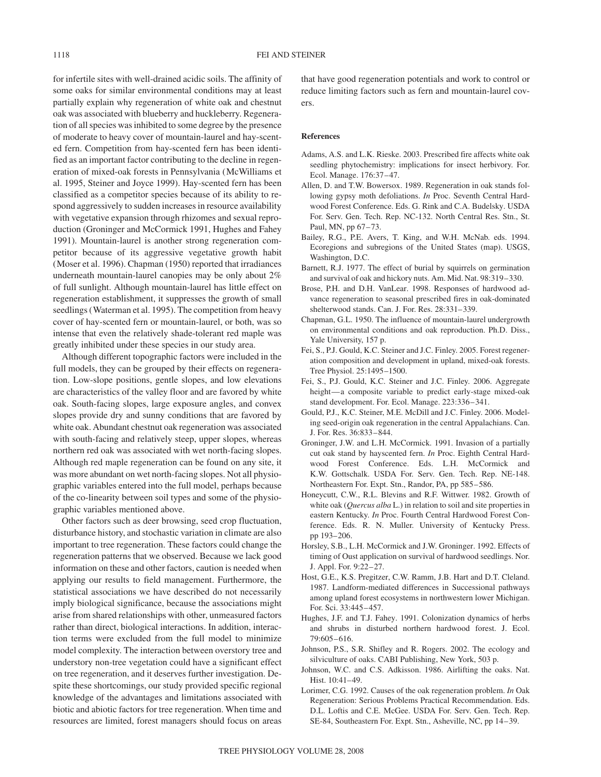for infertile sites with well-drained acidic soils. The affinity of some oaks for similar environmental conditions may at least partially explain why regeneration of white oak and chestnut oak was associated with blueberry and huckleberry. Regeneration of all species was inhibited to some degree by the presence of moderate to heavy cover of mountain-laurel and hay-scented fern. Competition from hay-scented fern has been identified as an important factor contributing to the decline in regeneration of mixed-oak forests in Pennsylvania (McWilliams et al. 1995, Steiner and Joyce 1999). Hay-scented fern has been classified as a competitor species because of its ability to respond aggressively to sudden increases in resource availability with vegetative expansion through rhizomes and sexual reproduction (Groninger and McCormick 1991, Hughes and Fahey 1991). Mountain-laurel is another strong regeneration competitor because of its aggressive vegetative growth habit (Moser et al. 1996). Chapman (1950) reported that irradiances underneath mountain-laurel canopies may be only about 2% of full sunlight. Although mountain-laurel has little effect on regeneration establishment, it suppresses the growth of small seedlings (Waterman et al. 1995). The competition from heavy cover of hay-scented fern or mountain-laurel, or both, was so intense that even the relatively shade-tolerant red maple was greatly inhibited under these species in our study area.

Although different topographic factors were included in the full models, they can be grouped by their effects on regeneration. Low-slope positions, gentle slopes, and low elevations are characteristics of the valley floor and are favored by white oak. South-facing slopes, large exposure angles, and convex slopes provide dry and sunny conditions that are favored by white oak. Abundant chestnut oak regeneration was associated with south-facing and relatively steep, upper slopes, whereas northern red oak was associated with wet north-facing slopes. Although red maple regeneration can be found on any site, it was more abundant on wet north-facing slopes. Not all physiographic variables entered into the full model, perhaps because of the co-linearity between soil types and some of the physiographic variables mentioned above.

Other factors such as deer browsing, seed crop fluctuation, disturbance history, and stochastic variation in climate are also important to tree regeneration. These factors could change the regeneration patterns that we observed. Because we lack good information on these and other factors, caution is needed when applying our results to field management. Furthermore, the statistical associations we have described do not necessarily imply biological significance, because the associations might arise from shared relationships with other, unmeasured factors rather than direct, biological interactions. In addition, interaction terms were excluded from the full model to minimize model complexity. The interaction between overstory tree and understory non-tree vegetation could have a significant effect on tree regeneration, and it deserves further investigation. Despite these shortcomings, our study provided specific regional knowledge of the advantages and limitations associated with biotic and abiotic factors for tree regeneration. When time and resources are limited, forest managers should focus on areas that have good regeneration potentials and work to control or reduce limiting factors such as fern and mountain-laurel covers.

#### **References**

- Adams, A.S. and L.K. Rieske. 2003. Prescribed fire affects white oak seedling phytochemistry: implications for insect herbivory. For. Ecol. Manage. 176:37–47.
- Allen, D. and T.W. Bowersox. 1989. Regeneration in oak stands following gypsy moth defoliations. *In* Proc. Seventh Central Hardwood Forest Conference. Eds. G. Rink and C.A. Budelsky. USDA For. Serv. Gen. Tech. Rep. NC-132. North Central Res. Stn., St. Paul, MN, pp 67–73.
- Bailey, R.G., P.E. Avers, T. King, and W.H. McNab. eds. 1994. Ecoregions and subregions of the United States (map). USGS, Washington, D.C.
- Barnett, R.J. 1977. The effect of burial by squirrels on germination and survival of oak and hickory nuts. Am. Mid. Nat. 98:319–330.
- Brose, P.H. and D.H. VanLear. 1998. Responses of hardwood advance regeneration to seasonal prescribed fires in oak-dominated shelterwood stands. Can. J. For. Res. 28:331–339.
- Chapman, G.L. 1950. The influence of mountain-laurel undergrowth on environmental conditions and oak reproduction. Ph.D. Diss., Yale University, 157 p.
- Fei, S., P.J. Gould, K.C. Steiner and J.C. Finley. 2005. Forest regeneration composition and development in upland, mixed-oak forests. Tree Physiol. 25:1495–1500.
- Fei, S., P.J. Gould, K.C. Steiner and J.C. Finley. 2006. Aggregate height—a composite variable to predict early-stage mixed-oak stand development. For. Ecol. Manage. 223:336–341.
- Gould, P.J., K.C. Steiner, M.E. McDill and J.C. Finley. 2006. Modeling seed-origin oak regeneration in the central Appalachians. Can. J. For. Res. 36:833–844.
- Groninger, J.W. and L.H. McCormick. 1991. Invasion of a partially cut oak stand by hayscented fern. *In* Proc. Eighth Central Hardwood Forest Conference. Eds. L.H. McCormick and K.W. Gottschalk. USDA For. Serv. Gen. Tech. Rep. NE-148. Northeastern For. Expt. Stn., Randor, PA, pp 585–586.
- Honeycutt, C.W., R.L. Blevins and R.F. Wittwer. 1982. Growth of white oak (*Quercus alba* L.) in relation to soil and site properties in eastern Kentucky. *In* Proc. Fourth Central Hardwood Forest Conference. Eds. R. N. Muller. University of Kentucky Press. pp 193–206.
- Horsley, S.B., L.H. McCormick and J.W. Groninger. 1992. Effects of timing of Oust application on survival of hardwood seedlings. Nor. J. Appl. For. 9:22–27.
- Host, G.E., K.S. Pregitzer, C.W. Ramm, J.B. Hart and D.T. Cleland. 1987. Landform-mediated differences in Successional pathways among upland forest ecosystems in northwestern lower Michigan. For. Sci. 33:445–457.
- Hughes, J.F. and T.J. Fahey. 1991. Colonization dynamics of herbs and shrubs in disturbed northern hardwood forest. J. Ecol. 79:605–616.
- Johnson, P.S., S.R. Shifley and R. Rogers. 2002. The ecology and silviculture of oaks. CABI Publishing, New York, 503 p.
- Johnson, W.C. and C.S. Adkisson. 1986. Airlifting the oaks. Nat. Hist. 10:41–49.
- Lorimer, C.G. 1992. Causes of the oak regeneration problem. *In* Oak Regeneration: Serious Problems Practical Recommendation. Eds. D.L. Loftis and C.E. McGee. USDA For. Serv. Gen. Tech. Rep. SE-84, Southeastern For. Expt. Stn., Asheville, NC, pp 14–39.